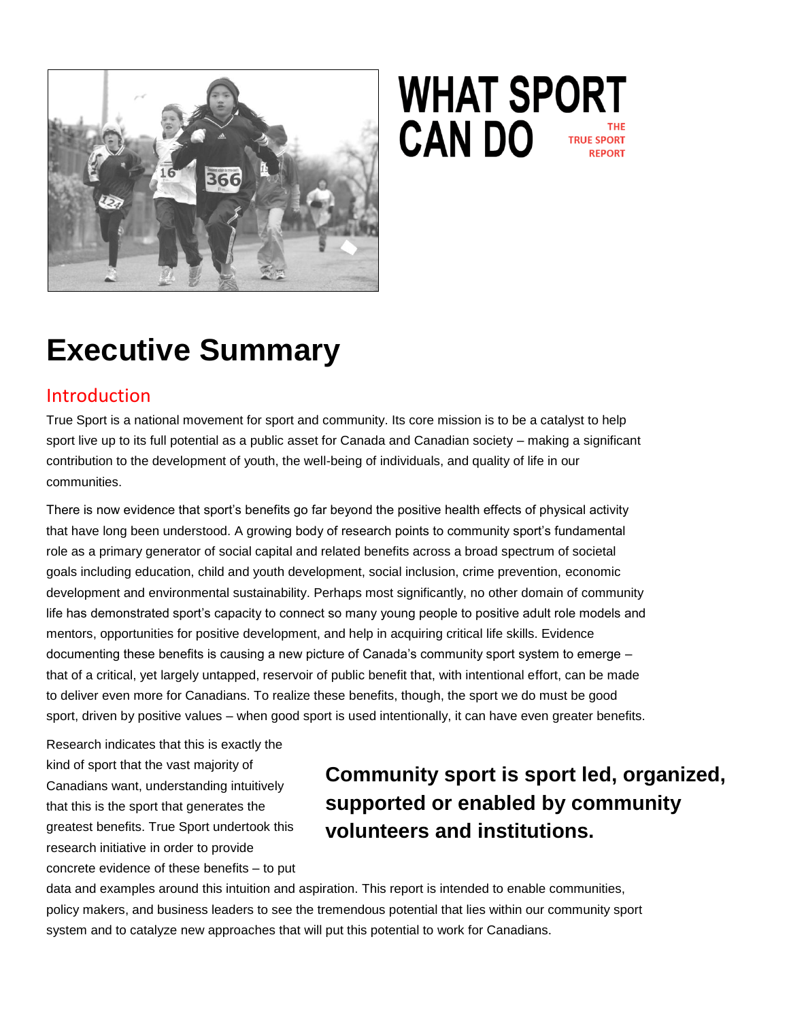

# **WHAT SPORT CAN DO**

## **Executive Summary**

#### Introduction

True Sport is a national movement for sport and community. Its core mission is to be a catalyst to help sport live up to its full potential as a public asset for Canada and Canadian society – making a significant contribution to the development of youth, the well-being of individuals, and quality of life in our communities.

There is now evidence that sport's benefits go far beyond the positive health effects of physical activity that have long been understood. A growing body of research points to community sport's fundamental role as a primary generator of social capital and related benefits across a broad spectrum of societal goals including education, child and youth development, social inclusion, crime prevention, economic development and environmental sustainability. Perhaps most significantly, no other domain of community life has demonstrated sport's capacity to connect so many young people to positive adult role models and mentors, opportunities for positive development, and help in acquiring critical life skills. Evidence documenting these benefits is causing a new picture of Canada's community sport system to emerge – that of a critical, yet largely untapped, reservoir of public benefit that, with intentional effort, can be made to deliver even more for Canadians. To realize these benefits, though, the sport we do must be good sport, driven by positive values – when good sport is used intentionally, it can have even greater benefits.

Research indicates that this is exactly the kind of sport that the vast majority of Canadians want, understanding intuitively that this is the sport that generates the greatest benefits. True Sport undertook this research initiative in order to provide concrete evidence of these benefits – to put

## **Community sport is sport led, organized, supported or enabled by community volunteers and institutions.**

data and examples around this intuition and aspiration. This report is intended to enable communities, policy makers, and business leaders to see the tremendous potential that lies within our community sport system and to catalyze new approaches that will put this potential to work for Canadians.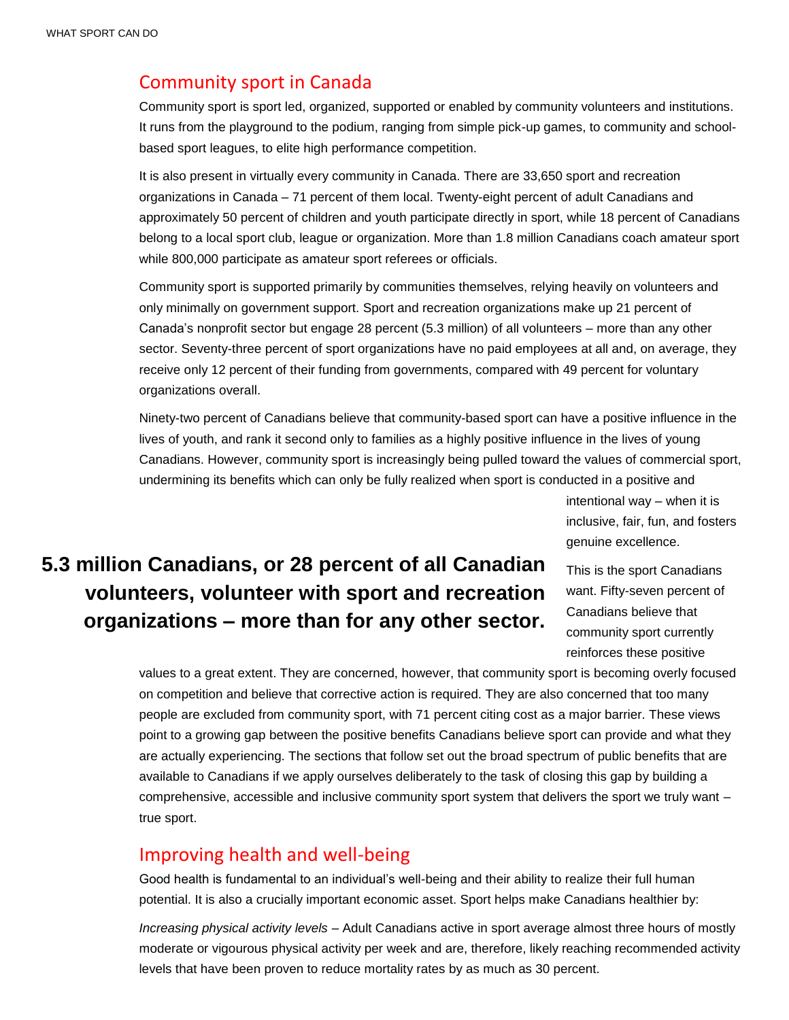#### Community sport in Canada

Community sport is sport led, organized, supported or enabled by community volunteers and institutions. It runs from the playground to the podium, ranging from simple pick-up games, to community and schoolbased sport leagues, to elite high performance competition.

It is also present in virtually every community in Canada. There are 33,650 sport and recreation organizations in Canada – 71 percent of them local. Twenty-eight percent of adult Canadians and approximately 50 percent of children and youth participate directly in sport, while 18 percent of Canadians belong to a local sport club, league or organization. More than 1.8 million Canadians coach amateur sport while 800,000 participate as amateur sport referees or officials.

Community sport is supported primarily by communities themselves, relying heavily on volunteers and only minimally on government support. Sport and recreation organizations make up 21 percent of Canada's nonprofit sector but engage 28 percent (5.3 million) of all volunteers – more than any other sector. Seventy-three percent of sport organizations have no paid employees at all and, on average, they receive only 12 percent of their funding from governments, compared with 49 percent for voluntary organizations overall.

Ninety-two percent of Canadians believe that community-based sport can have a positive influence in the lives of youth, and rank it second only to families as a highly positive influence in the lives of young Canadians. However, community sport is increasingly being pulled toward the values of commercial sport, undermining its benefits which can only be fully realized when sport is conducted in a positive and

> intentional way – when it is inclusive, fair, fun, and fosters genuine excellence.

## **5.3 million Canadians, or 28 percent of all Canadian volunteers, volunteer with sport and recreation organizations – more than for any other sector.**

This is the sport Canadians want. Fifty-seven percent of Canadians believe that community sport currently reinforces these positive

values to a great extent. They are concerned, however, that community sport is becoming overly focused on competition and believe that corrective action is required. They are also concerned that too many people are excluded from community sport, with 71 percent citing cost as a major barrier. These views point to a growing gap between the positive benefits Canadians believe sport can provide and what they are actually experiencing. The sections that follow set out the broad spectrum of public benefits that are available to Canadians if we apply ourselves deliberately to the task of closing this gap by building a comprehensive, accessible and inclusive community sport system that delivers the sport we truly want – true sport.

#### Improving health and well-being

Good health is fundamental to an individual's well-being and their ability to realize their full human potential. It is also a crucially important economic asset. Sport helps make Canadians healthier by:

*Increasing physical activity levels* – Adult Canadians active in sport average almost three hours of mostly moderate or vigourous physical activity per week and are, therefore, likely reaching recommended activity levels that have been proven to reduce mortality rates by as much as 30 percent.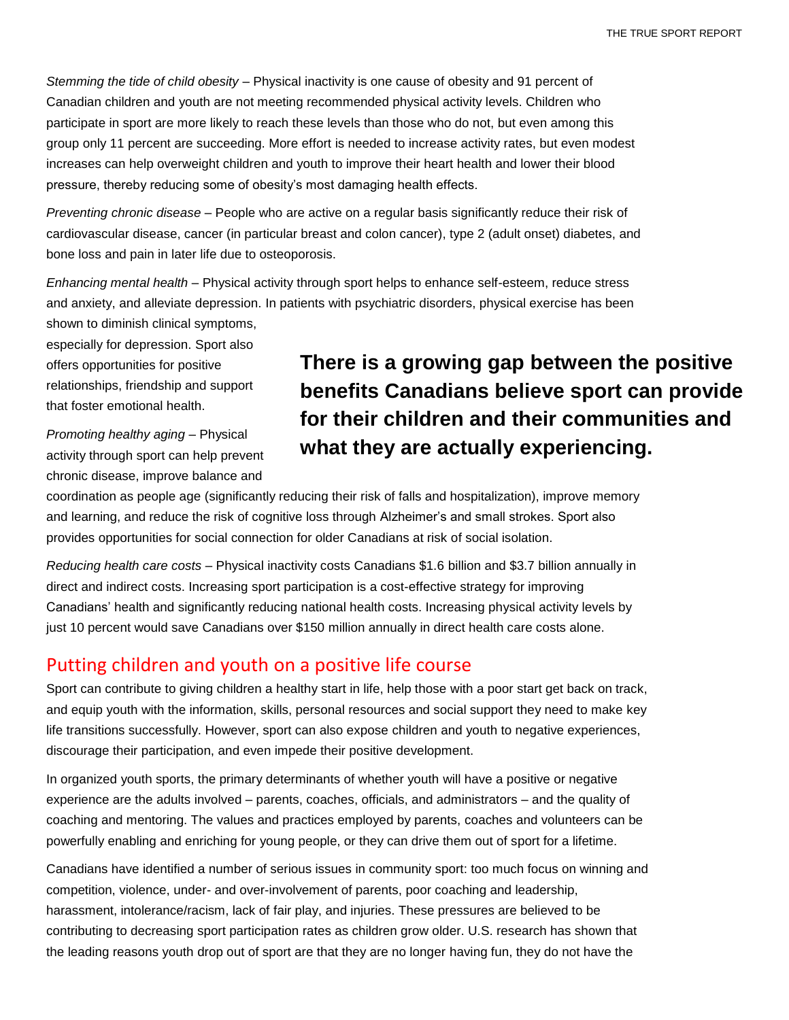*Stemming the tide of child obesity* – Physical inactivity is one cause of obesity and 91 percent of Canadian children and youth are not meeting recommended physical activity levels. Children who participate in sport are more likely to reach these levels than those who do not, but even among this group only 11 percent are succeeding. More effort is needed to increase activity rates, but even modest increases can help overweight children and youth to improve their heart health and lower their blood pressure, thereby reducing some of obesity's most damaging health effects.

*Preventing chronic disease* – People who are active on a regular basis significantly reduce their risk of cardiovascular disease, cancer (in particular breast and colon cancer), type 2 (adult onset) diabetes, and bone loss and pain in later life due to osteoporosis.

*Enhancing mental health* – Physical activity through sport helps to enhance self-esteem, reduce stress and anxiety, and alleviate depression. In patients with psychiatric disorders, physical exercise has been shown to diminish clinical symptoms,

especially for depression. Sport also offers opportunities for positive relationships, friendship and support that foster emotional health.

*Promoting healthy aging* – Physical activity through sport can help prevent chronic disease, improve balance and

## **There is a growing gap between the positive benefits Canadians believe sport can provide for their children and their communities and what they are actually experiencing.**

coordination as people age (significantly reducing their risk of falls and hospitalization), improve memory and learning, and reduce the risk of cognitive loss through Alzheimer's and small strokes. Sport also provides opportunities for social connection for older Canadians at risk of social isolation.

*Reducing health care costs* – Physical inactivity costs Canadians \$1.6 billion and \$3.7 billion annually in direct and indirect costs. Increasing sport participation is a cost-effective strategy for improving Canadians' health and significantly reducing national health costs. Increasing physical activity levels by just 10 percent would save Canadians over \$150 million annually in direct health care costs alone.

#### Putting children and youth on a positive life course

Sport can contribute to giving children a healthy start in life, help those with a poor start get back on track, and equip youth with the information, skills, personal resources and social support they need to make key life transitions successfully. However, sport can also expose children and youth to negative experiences, discourage their participation, and even impede their positive development.

In organized youth sports, the primary determinants of whether youth will have a positive or negative experience are the adults involved – parents, coaches, officials, and administrators – and the quality of coaching and mentoring. The values and practices employed by parents, coaches and volunteers can be powerfully enabling and enriching for young people, or they can drive them out of sport for a lifetime.

Canadians have identified a number of serious issues in community sport: too much focus on winning and competition, violence, under- and over-involvement of parents, poor coaching and leadership, harassment, intolerance/racism, lack of fair play, and injuries. These pressures are believed to be contributing to decreasing sport participation rates as children grow older. U.S. research has shown that the leading reasons youth drop out of sport are that they are no longer having fun, they do not have the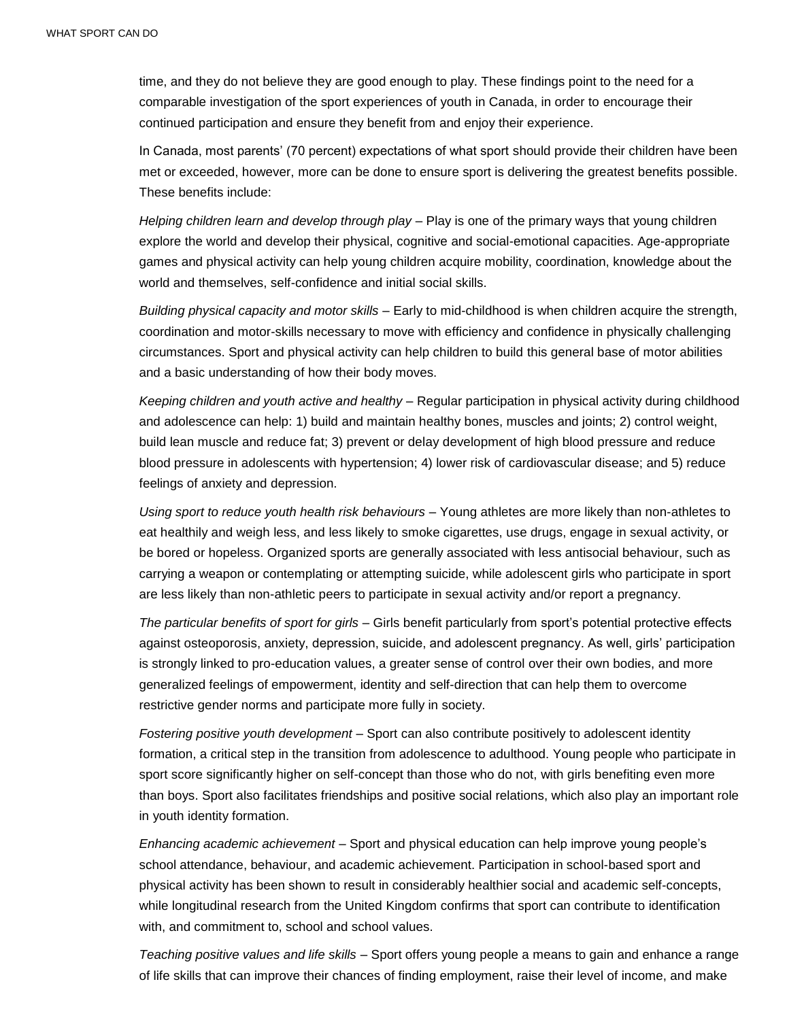time, and they do not believe they are good enough to play. These findings point to the need for a comparable investigation of the sport experiences of youth in Canada, in order to encourage their continued participation and ensure they benefit from and enjoy their experience.

In Canada, most parents' (70 percent) expectations of what sport should provide their children have been met or exceeded, however, more can be done to ensure sport is delivering the greatest benefits possible. These benefits include:

*Helping children learn and develop through play* – Play is one of the primary ways that young children explore the world and develop their physical, cognitive and social-emotional capacities. Age-appropriate games and physical activity can help young children acquire mobility, coordination, knowledge about the world and themselves, self-confidence and initial social skills.

*Building physical capacity and motor skills* – Early to mid-childhood is when children acquire the strength, coordination and motor-skills necessary to move with efficiency and confidence in physically challenging circumstances. Sport and physical activity can help children to build this general base of motor abilities and a basic understanding of how their body moves.

*Keeping children and youth active and healthy* – Regular participation in physical activity during childhood and adolescence can help: 1) build and maintain healthy bones, muscles and joints; 2) control weight, build lean muscle and reduce fat; 3) prevent or delay development of high blood pressure and reduce blood pressure in adolescents with hypertension; 4) lower risk of cardiovascular disease; and 5) reduce feelings of anxiety and depression.

*Using sport to reduce youth health risk behaviours* – Young athletes are more likely than non-athletes to eat healthily and weigh less, and less likely to smoke cigarettes, use drugs, engage in sexual activity, or be bored or hopeless. Organized sports are generally associated with less antisocial behaviour, such as carrying a weapon or contemplating or attempting suicide, while adolescent girls who participate in sport are less likely than non-athletic peers to participate in sexual activity and/or report a pregnancy.

*The particular benefits of sport for girls* – Girls benefit particularly from sport's potential protective effects against osteoporosis, anxiety, depression, suicide, and adolescent pregnancy. As well, girls' participation is strongly linked to pro-education values, a greater sense of control over their own bodies, and more generalized feelings of empowerment, identity and self-direction that can help them to overcome restrictive gender norms and participate more fully in society.

*Fostering positive youth development* – Sport can also contribute positively to adolescent identity formation, a critical step in the transition from adolescence to adulthood. Young people who participate in sport score significantly higher on self-concept than those who do not, with girls benefiting even more than boys. Sport also facilitates friendships and positive social relations, which also play an important role in youth identity formation.

*Enhancing academic achievement* – Sport and physical education can help improve young people's school attendance, behaviour, and academic achievement. Participation in school-based sport and physical activity has been shown to result in considerably healthier social and academic self-concepts, while longitudinal research from the United Kingdom confirms that sport can contribute to identification with, and commitment to, school and school values.

*Teaching positive values and life skills* – Sport offers young people a means to gain and enhance a range of life skills that can improve their chances of finding employment, raise their level of income, and make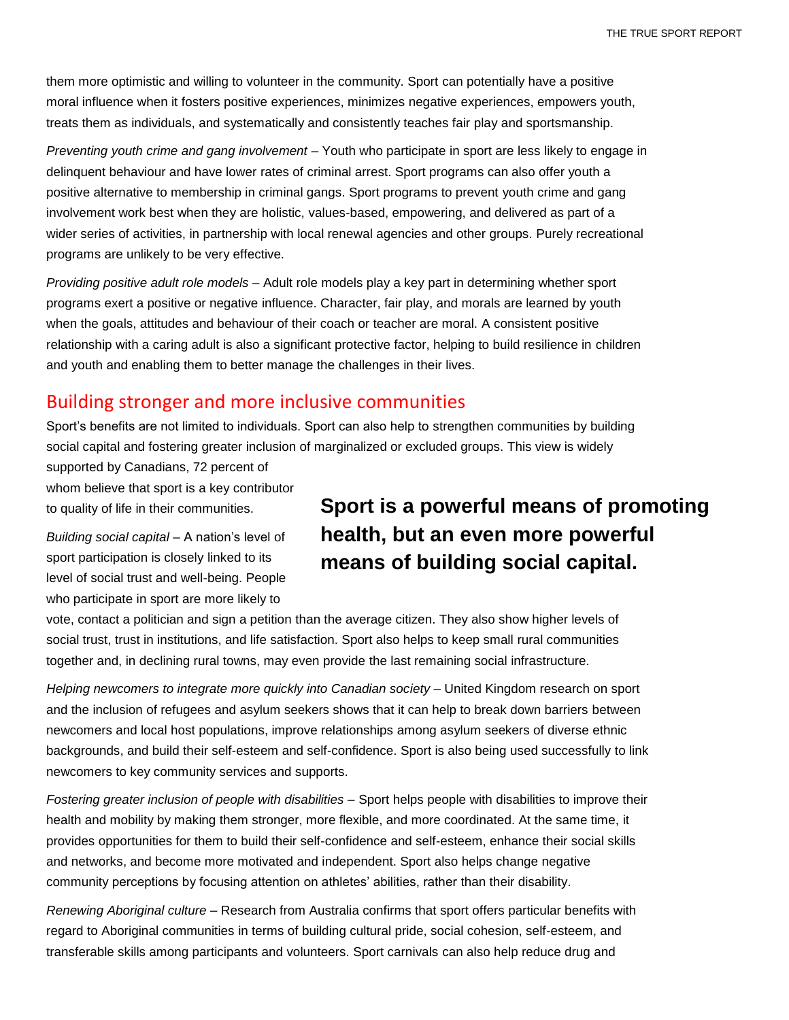them more optimistic and willing to volunteer in the community. Sport can potentially have a positive moral influence when it fosters positive experiences, minimizes negative experiences, empowers youth, treats them as individuals, and systematically and consistently teaches fair play and sportsmanship.

*Preventing youth crime and gang involvement* – Youth who participate in sport are less likely to engage in delinquent behaviour and have lower rates of criminal arrest. Sport programs can also offer youth a positive alternative to membership in criminal gangs. Sport programs to prevent youth crime and gang involvement work best when they are holistic, values-based, empowering, and delivered as part of a wider series of activities, in partnership with local renewal agencies and other groups. Purely recreational programs are unlikely to be very effective.

*Providing positive adult role models* – Adult role models play a key part in determining whether sport programs exert a positive or negative influence. Character, fair play, and morals are learned by youth when the goals, attitudes and behaviour of their coach or teacher are moral. A consistent positive relationship with a caring adult is also a significant protective factor, helping to build resilience in children and youth and enabling them to better manage the challenges in their lives.

#### Building stronger and more inclusive communities

Sport's benefits are not limited to individuals. Sport can also help to strengthen communities by building social capital and fostering greater inclusion of marginalized or excluded groups. This view is widely

supported by Canadians, 72 percent of whom believe that sport is a key contributor to quality of life in their communities.

*Building social capital* – A nation's level of sport participation is closely linked to its level of social trust and well-being. People who participate in sport are more likely to

## **Sport is a powerful means of promoting health, but an even more powerful means of building social capital.**

vote, contact a politician and sign a petition than the average citizen. They also show higher levels of social trust, trust in institutions, and life satisfaction. Sport also helps to keep small rural communities together and, in declining rural towns, may even provide the last remaining social infrastructure.

*Helping newcomers to integrate more quickly into Canadian society* – United Kingdom research on sport and the inclusion of refugees and asylum seekers shows that it can help to break down barriers between newcomers and local host populations, improve relationships among asylum seekers of diverse ethnic backgrounds, and build their self-esteem and self-confidence. Sport is also being used successfully to link newcomers to key community services and supports.

*Fostering greater inclusion of people with disabilities* – Sport helps people with disabilities to improve their health and mobility by making them stronger, more flexible, and more coordinated. At the same time, it provides opportunities for them to build their self-confidence and self-esteem, enhance their social skills and networks, and become more motivated and independent. Sport also helps change negative community perceptions by focusing attention on athletes' abilities, rather than their disability.

*Renewing Aboriginal culture* – Research from Australia confirms that sport offers particular benefits with regard to Aboriginal communities in terms of building cultural pride, social cohesion, self-esteem, and transferable skills among participants and volunteers. Sport carnivals can also help reduce drug and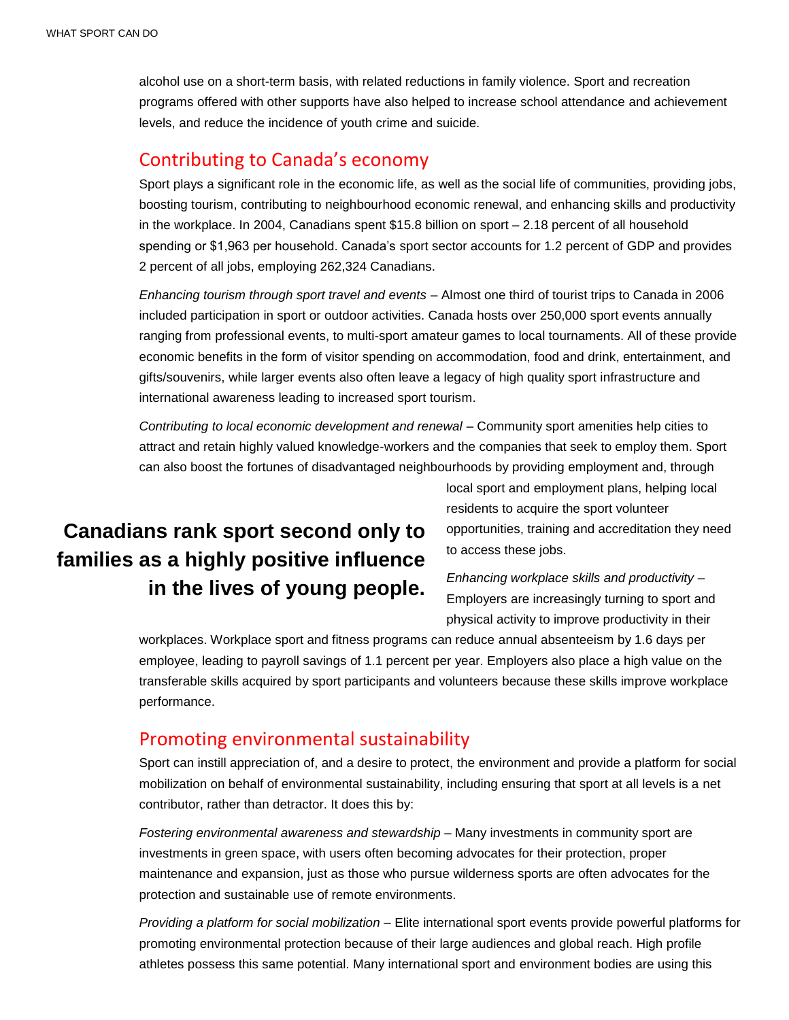alcohol use on a short-term basis, with related reductions in family violence. Sport and recreation programs offered with other supports have also helped to increase school attendance and achievement levels, and reduce the incidence of youth crime and suicide.

#### Contributing to Canada's economy

Sport plays a significant role in the economic life, as well as the social life of communities, providing jobs, boosting tourism, contributing to neighbourhood economic renewal, and enhancing skills and productivity in the workplace. In 2004, Canadians spent \$15.8 billion on sport – 2.18 percent of all household spending or \$1,963 per household. Canada's sport sector accounts for 1.2 percent of GDP and provides 2 percent of all jobs, employing 262,324 Canadians.

*Enhancing tourism through sport travel and events* – Almost one third of tourist trips to Canada in 2006 included participation in sport or outdoor activities. Canada hosts over 250,000 sport events annually ranging from professional events, to multi-sport amateur games to local tournaments. All of these provide economic benefits in the form of visitor spending on accommodation, food and drink, entertainment, and gifts/souvenirs, while larger events also often leave a legacy of high quality sport infrastructure and international awareness leading to increased sport tourism.

*Contributing to local economic development and renewal* – Community sport amenities help cities to attract and retain highly valued knowledge-workers and the companies that seek to employ them. Sport can also boost the fortunes of disadvantaged neighbourhoods by providing employment and, through

## **Canadians rank sport second only to families as a highly positive influence in the lives of young people.**

local sport and employment plans, helping local residents to acquire the sport volunteer opportunities, training and accreditation they need to access these jobs.

*Enhancing workplace skills and productivity* – Employers are increasingly turning to sport and physical activity to improve productivity in their

workplaces. Workplace sport and fitness programs can reduce annual absenteeism by 1.6 days per employee, leading to payroll savings of 1.1 percent per year. Employers also place a high value on the transferable skills acquired by sport participants and volunteers because these skills improve workplace performance.

#### Promoting environmental sustainability

Sport can instill appreciation of, and a desire to protect, the environment and provide a platform for social mobilization on behalf of environmental sustainability, including ensuring that sport at all levels is a net contributor, rather than detractor. It does this by:

*Fostering environmental awareness and stewardship* – Many investments in community sport are investments in green space, with users often becoming advocates for their protection, proper maintenance and expansion, just as those who pursue wilderness sports are often advocates for the protection and sustainable use of remote environments.

*Providing a platform for social mobilization* – Elite international sport events provide powerful platforms for promoting environmental protection because of their large audiences and global reach. High profile athletes possess this same potential. Many international sport and environment bodies are using this